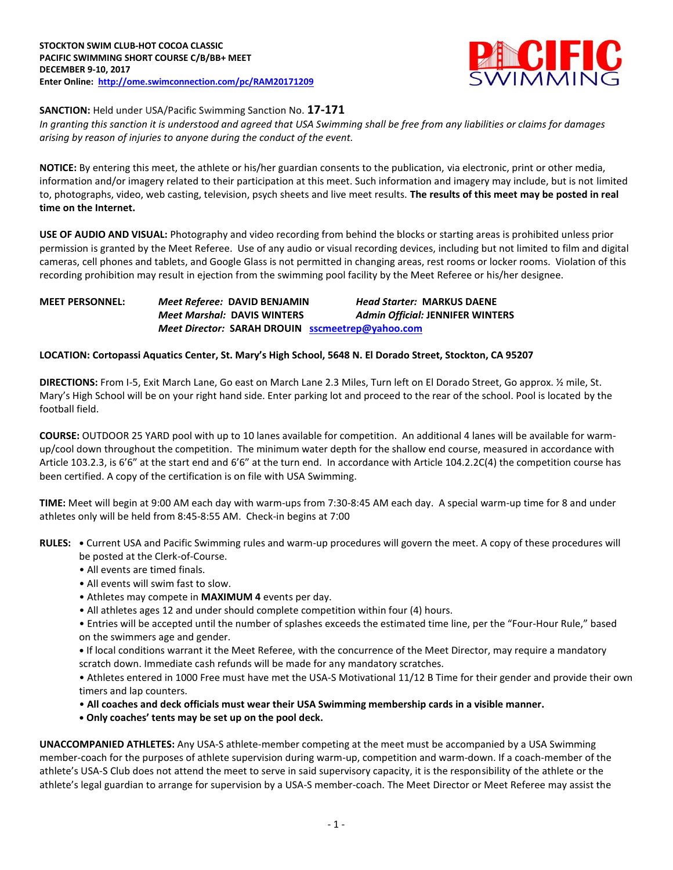

**SANCTION:** Held under USA/Pacific Swimming Sanction No. **17-171**

*In granting this sanction it is understood and agreed that USA Swimming shall be free from any liabilities or claims for damages arising by reason of injuries to anyone during the conduct of the event.*

**NOTICE:** By entering this meet, the athlete or his/her guardian consents to the publication, via electronic, print or other media, information and/or imagery related to their participation at this meet. Such information and imagery may include, but is not limited to, photographs, video, web casting, television, psych sheets and live meet results. **The results of this meet may be posted in real time on the Internet.**

**USE OF AUDIO AND VISUAL:** Photography and video recording from behind the blocks or starting areas is prohibited unless prior permission is granted by the Meet Referee. Use of any audio or visual recording devices, including but not limited to film and digital cameras, cell phones and tablets, and Google Glass is not permitted in changing areas, rest rooms or locker rooms. Violation of this recording prohibition may result in ejection from the swimming pool facility by the Meet Referee or his/her designee.

# **MEET PERSONNEL:** *Meet Referee:* **DAVID BENJAMIN** *Head Starter:* **MARKUS DAENE** *Meet Marshal:* **DAVIS WINTERS** *Admin Official:* **JENNIFER WINTERS** *Meet Director:* **SARAH DROUIN [sscmeetrep@yahoo.com](mailto:sscmeetrep@yahoo.com)**

## **LOCATION: Cortopassi Aquatics Center, St. Mary's High School, 5648 N. El Dorado Street, Stockton, CA 95207**

**DIRECTIONS:** From I-5, Exit March Lane, Go east on March Lane 2.3 Miles, Turn left on El Dorado Street, Go approx. ½ mile, St. Mary's High School will be on your right hand side. Enter parking lot and proceed to the rear of the school. Pool is located by the football field.

**COURSE:** OUTDOOR 25 YARD pool with up to 10 lanes available for competition. An additional 4 lanes will be available for warmup/cool down throughout the competition. The minimum water depth for the shallow end course, measured in accordance with Article 103.2.3, is 6'6" at the start end and 6'6" at the turn end. In accordance with Article 104.2.2C(4) the competition course has been certified. A copy of the certification is on file with USA Swimming.

**TIME:** Meet will begin at 9:00 AM each day with warm-ups from 7:30-8:45 AM each day. A special warm-up time for 8 and under athletes only will be held from 8:45-8:55 AM. Check-in begins at 7:00

- **RULES: •** Current USA and Pacific Swimming rules and warm-up procedures will govern the meet. A copy of these procedures will be posted at the Clerk-of-Course.
	- All events are timed finals.
	- All events will swim fast to slow.
	- Athletes may compete in **MAXIMUM 4** events per day.
	- All athletes ages 12 and under should complete competition within four (4) hours.

• Entries will be accepted until the number of splashes exceeds the estimated time line, per the "Four-Hour Rule," based on the swimmers age and gender.

**•** If local conditions warrant it the Meet Referee, with the concurrence of the Meet Director, may require a mandatory scratch down. Immediate cash refunds will be made for any mandatory scratches.

• Athletes entered in 1000 Free must have met the USA-S Motivational 11/12 B Time for their gender and provide their own timers and lap counters.

- **All coaches and deck officials must wear their USA Swimming membership cards in a visible manner.**
- **• Only coaches' tents may be set up on the pool deck.**

**UNACCOMPANIED ATHLETES:** Any USA-S athlete-member competing at the meet must be accompanied by a USA Swimming member-coach for the purposes of athlete supervision during warm-up, competition and warm-down. If a coach-member of the athlete's USA-S Club does not attend the meet to serve in said supervisory capacity, it is the responsibility of the athlete or the athlete's legal guardian to arrange for supervision by a USA-S member-coach. The Meet Director or Meet Referee may assist the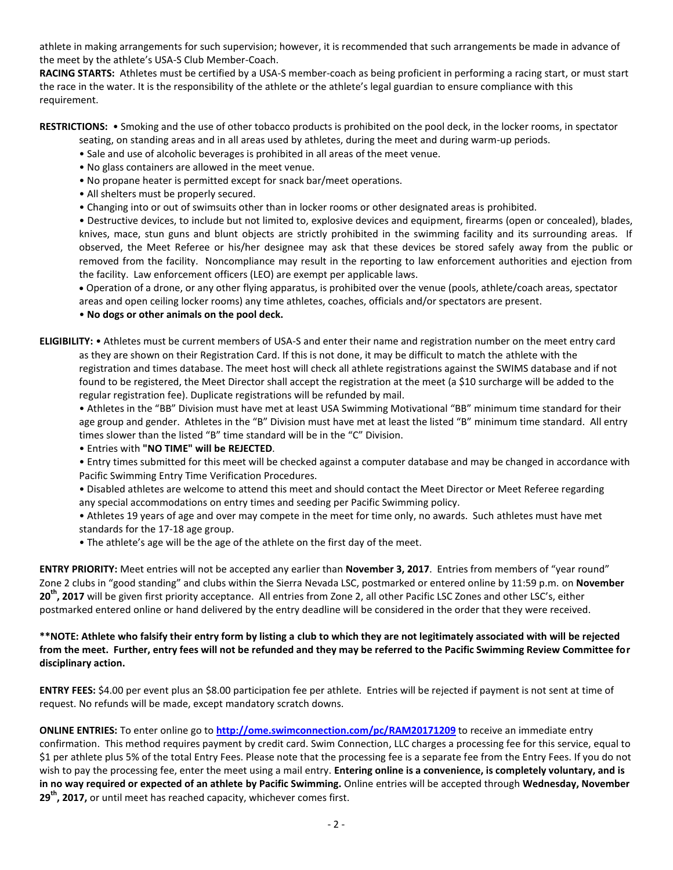athlete in making arrangements for such supervision; however, it is recommended that such arrangements be made in advance of the meet by the athlete's USA-S Club Member-Coach.

**RACING STARTS:** Athletes must be certified by a USA-S member-coach as being proficient in performing a racing start, or must start the race in the water. It is the responsibility of the athlete or the athlete's legal guardian to ensure compliance with this requirement.

**RESTRICTIONS:** • Smoking and the use of other tobacco products is prohibited on the pool deck, in the locker rooms, in spectator

- seating, on standing areas and in all areas used by athletes, during the meet and during warm-up periods.
- Sale and use of alcoholic beverages is prohibited in all areas of the meet venue.
- No glass containers are allowed in the meet venue.
- No propane heater is permitted except for snack bar/meet operations.
- All shelters must be properly secured.
- Changing into or out of swimsuits other than in locker rooms or other designated areas is prohibited.

• Destructive devices, to include but not limited to, explosive devices and equipment, firearms (open or concealed), blades, knives, mace, stun guns and blunt objects are strictly prohibited in the swimming facility and its surrounding areas. If observed, the Meet Referee or his/her designee may ask that these devices be stored safely away from the public or removed from the facility. Noncompliance may result in the reporting to law enforcement authorities and ejection from the facility. Law enforcement officers (LEO) are exempt per applicable laws.

 Operation of a drone, or any other flying apparatus, is prohibited over the venue (pools, athlete/coach areas, spectator areas and open ceiling locker rooms) any time athletes, coaches, officials and/or spectators are present.

• **No dogs or other animals on the pool deck.**

**ELIGIBILITY:** • Athletes must be current members of USA-S and enter their name and registration number on the meet entry card as they are shown on their Registration Card. If this is not done, it may be difficult to match the athlete with the registration and times database. The meet host will check all athlete registrations against the SWIMS database and if not found to be registered, the Meet Director shall accept the registration at the meet (a \$10 surcharge will be added to the regular registration fee). Duplicate registrations will be refunded by mail.

• Athletes in the "BB" Division must have met at least USA Swimming Motivational "BB" minimum time standard for their age group and gender. Athletes in the "B" Division must have met at least the listed "B" minimum time standard. All entry times slower than the listed "B" time standard will be in the "C" Division.

- Entries with **"NO TIME" will be REJECTED**.
- Entry times submitted for this meet will be checked against a computer database and may be changed in accordance with Pacific Swimming Entry Time Verification Procedures.
- Disabled athletes are welcome to attend this meet and should contact the Meet Director or Meet Referee regarding any special accommodations on entry times and seeding per Pacific Swimming policy.
- Athletes 19 years of age and over may compete in the meet for time only, no awards. Such athletes must have met standards for the 17-18 age group.
- The athlete's age will be the age of the athlete on the first day of the meet.

**ENTRY PRIORITY:** Meet entries will not be accepted any earlier than **November 3, 2017**. Entries from members of "year round" Zone 2 clubs in "good standing" and clubs within the Sierra Nevada LSC, postmarked or entered online by 11:59 p.m. on **November 20th, 2017** will be given first priority acceptance. All entries from Zone 2, all other Pacific LSC Zones and other LSC's, either postmarked entered online or hand delivered by the entry deadline will be considered in the order that they were received.

### **\*\*NOTE: Athlete who falsify their entry form by listing a club to which they are not legitimately associated with will be rejected from the meet. Further, entry fees will not be refunded and they may be referred to the Pacific Swimming Review Committee for disciplinary action.**

**ENTRY FEES:** \$4.00 per event plus an \$8.00 participation fee per athlete. Entries will be rejected if payment is not sent at time of request. No refunds will be made, except mandatory scratch downs.

**ONLINE ENTRIES:** To enter online go to **<http://ome.swimconnection.com/pc/RAM20171209>** to receive an immediate entry confirmation. This method requires payment by credit card. Swim Connection, LLC charges a processing fee for this service, equal to \$1 per athlete plus 5% of the total Entry Fees. Please note that the processing fee is a separate fee from the Entry Fees. If you do not wish to pay the processing fee, enter the meet using a mail entry. **Entering online is a convenience, is completely voluntary, and is in no way required or expected of an athlete by Pacific Swimming.** Online entries will be accepted through **Wednesday, November 29 th , 2017,** or until meet has reached capacity, whichever comes first.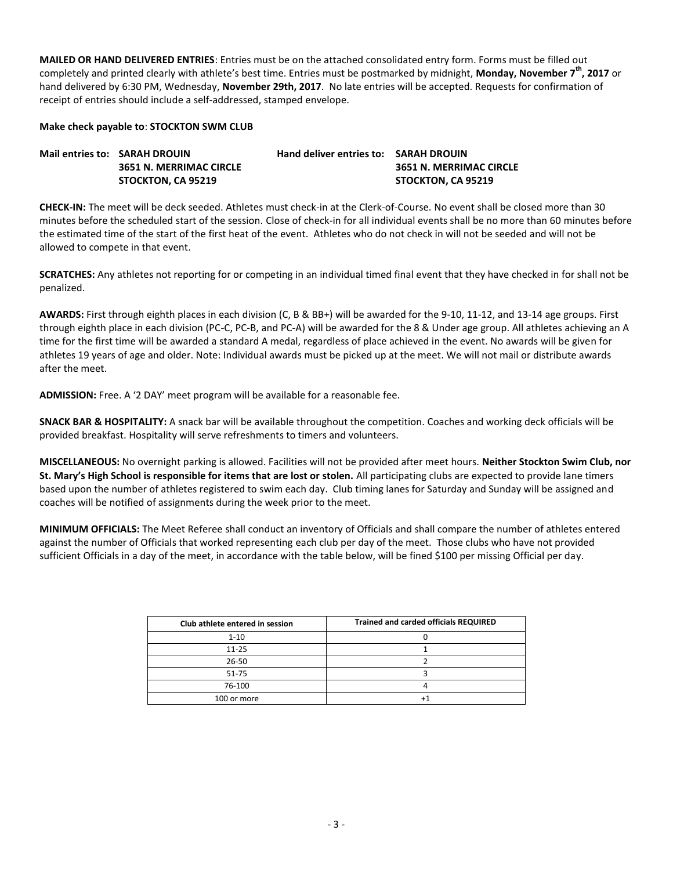**MAILED OR HAND DELIVERED ENTRIES**: Entries must be on the attached consolidated entry form. Forms must be filled out completely and printed clearly with athlete's best time. Entries must be postmarked by midnight, **Monday, November 7th , 2017** or hand delivered by 6:30 PM, Wednesday, **November 29th, 2017**. No late entries will be accepted. Requests for confirmation of receipt of entries should include a self-addressed, stamped envelope.

#### **Make check payable to**: **STOCKTON SWM CLUB**

| Mail entries to: SARAH DROUIN  | <b>Hand deliver entries to: SARAH DROUIN</b> |                         |
|--------------------------------|----------------------------------------------|-------------------------|
| <b>3651 N. MERRIMAC CIRCLE</b> |                                              | 3651 N. MERRIMAC CIRCLE |
| STOCKTON. CA 95219             |                                              | STOCKTON. CA 95219      |

**CHECK-IN:** The meet will be deck seeded. Athletes must check-in at the Clerk-of-Course. No event shall be closed more than 30 minutes before the scheduled start of the session. Close of check-in for all individual events shall be no more than 60 minutes before the estimated time of the start of the first heat of the event. Athletes who do not check in will not be seeded and will not be allowed to compete in that event.

**SCRATCHES:** Any athletes not reporting for or competing in an individual timed final event that they have checked in for shall not be penalized.

**AWARDS:** First through eighth places in each division (C, B & BB+) will be awarded for the 9-10, 11-12, and 13-14 age groups. First through eighth place in each division (PC-C, PC-B, and PC-A) will be awarded for the 8 & Under age group. All athletes achieving an A time for the first time will be awarded a standard A medal, regardless of place achieved in the event. No awards will be given for athletes 19 years of age and older. Note: Individual awards must be picked up at the meet. We will not mail or distribute awards after the meet.

**ADMISSION:** Free. A '2 DAY' meet program will be available for a reasonable fee.

**SNACK BAR & HOSPITALITY:** A snack bar will be available throughout the competition. Coaches and working deck officials will be provided breakfast. Hospitality will serve refreshments to timers and volunteers.

**MISCELLANEOUS:** No overnight parking is allowed. Facilities will not be provided after meet hours. **Neither Stockton Swim Club, nor St. Mary's High School is responsible for items that are lost or stolen.** All participating clubs are expected to provide lane timers based upon the number of athletes registered to swim each day. Club timing lanes for Saturday and Sunday will be assigned and coaches will be notified of assignments during the week prior to the meet.

**MINIMUM OFFICIALS:** The Meet Referee shall conduct an inventory of Officials and shall compare the number of athletes entered against the number of Officials that worked representing each club per day of the meet. Those clubs who have not provided sufficient Officials in a day of the meet, in accordance with the table below, will be fined \$100 per missing Official per day.

| Club athlete entered in session | Trained and carded officials REQUIRED |
|---------------------------------|---------------------------------------|
| $1 - 10$                        |                                       |
| $11 - 25$                       |                                       |
| 26-50                           |                                       |
| $51 - 75$                       |                                       |
| 76-100                          |                                       |
| 100 or more                     |                                       |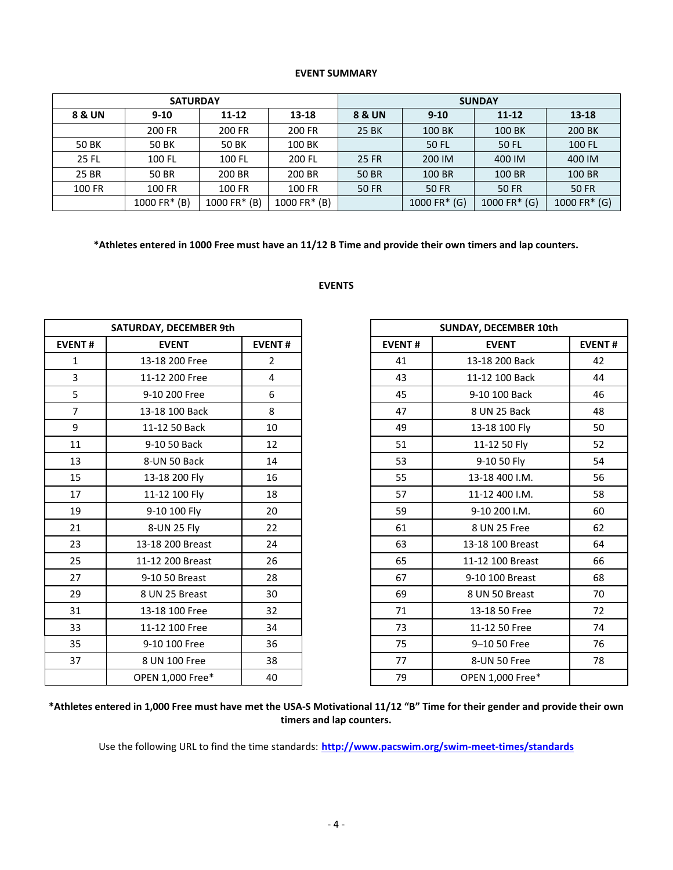## **EVENT SUMMARY**

|               | <b>SATURDAY</b> |                |              | <b>SUNDAY</b>         |                |                 |               |  |  |
|---------------|-----------------|----------------|--------------|-----------------------|----------------|-----------------|---------------|--|--|
| 8 & UN        | $9 - 10$        | 11-12          | 13-18        | 8 & UN                | $9 - 10$       | $11 - 12$       | 13-18         |  |  |
|               | 200 FR          | 200 FR         | 200 FR       | 25 BK                 | 100 BK         | 100 BK          | 200 BK        |  |  |
| 50 BK         | 50 BK           | 50 BK          | 100 BK       |                       | 50 FL          | 50 FL           | <b>100 FL</b> |  |  |
| 25 FL         | 100 FL          | 100 FL         | 200 FL       | 25 FR                 | 200 IM         | 400 IM          | 400 IM        |  |  |
| 25 BR         | 50 BR           | 200 BR         | 200 BR       | 50 BR                 | 100 BR         | 100 BR          | 100 BR        |  |  |
| <b>100 FR</b> | 100 FR          | 100 FR         | 100 FR       | <b>50 FR</b><br>50 FR |                | <b>50 FR</b>    | <b>50 FR</b>  |  |  |
|               | $1000$ FR* (B)  | $1000$ FR* (B) | 1000 FR* (B) |                       | $1000$ FR* (G) | 1000 FR $*$ (G) | 1000 FR* (G)  |  |  |

**\*Athletes entered in 1000 Free must have an 11/12 B Time and provide their own timers and lap counters.** 

#### **EVENTS**

|                | <b>SATURDAY, DECEMBER 9th</b> |                |               | SUNDAY, DECEMBER 10th   |
|----------------|-------------------------------|----------------|---------------|-------------------------|
| <b>EVENT#</b>  | <b>EVENT</b>                  | <b>EVENT#</b>  | <b>EVENT#</b> | <b>EVENT</b>            |
| $\mathbf{1}$   | 13-18 200 Free                | $\overline{2}$ | 41            | 13-18 200 Back          |
| 3              | 11-12 200 Free                | 4              | 43            | 11-12 100 Back          |
| 5              | 9-10 200 Free                 | 6              | 45            | 9-10 100 Back           |
| $\overline{7}$ | 13-18 100 Back                | 8              | 47            | 8 UN 25 Back            |
| 9              | 11-12 50 Back                 | 10             | 49            | 13-18 100 Fly           |
| 11             | 9-10 50 Back                  | 12             | 51            | 11-12 50 Fly            |
| 13             | 8-UN 50 Back                  | 14             | 53            | 9-10 50 Fly             |
| 15             | 13-18 200 Fly                 | 16             | 55            | 13-18 400 I.M.          |
| 17             | 11-12 100 Fly                 | 18             | 57            | 11-12 400 I.M.          |
| 19             | 9-10 100 Fly                  | 20             | 59            | 9-10 200 I.M.           |
| 21             | 8-UN 25 Fly                   | 22             | 61            | 8 UN 25 Free            |
| 23             | 13-18 200 Breast              | 24             | 63            | 13-18 100 Breast        |
| 25             | 11-12 200 Breast              | 26             | 65            | 11-12 100 Breast        |
| 27             | 9-10 50 Breast                | 28             | 67            | 9-10 100 Breast         |
| 29             | 8 UN 25 Breast                | 30             | 69            | 8 UN 50 Breast          |
| 31             | 13-18 100 Free                | 32             | 71            | 13-18 50 Free           |
| 33             | 11-12 100 Free                | 34             | 73            | 11-12 50 Free           |
| 35             | 9-10 100 Free                 | 36             | 75            | 9-10 50 Free            |
| 37             | 8 UN 100 Free                 | 38             | 77            | 8-UN 50 Free            |
|                | <b>OPEN 1.000 Free*</b>       | 40             | 79            | <b>OPEN 1.000 Free*</b> |

| SATURDAY, DECEMBER 9th |                         |                |
|------------------------|-------------------------|----------------|
| <b>EVENT#</b>          | <b>EVENT</b>            | <b>EVENT#</b>  |
| $\mathbf{1}$           | 13-18 200 Free          | $\overline{2}$ |
| $\overline{3}$         | 11-12 200 Free          | 4              |
| 5                      | 9-10 200 Free           | 6              |
| $\overline{7}$         | 13-18 100 Back          | 8              |
| 9                      | 11-12 50 Back           | 10             |
| 11                     | 9-10 50 Back            | 12             |
| 13                     | 8-UN 50 Back            | 14             |
| 15                     | 13-18 200 Fly           | 16             |
| 17                     | 11-12 100 Fly           | 18             |
| 19                     | 9-10 100 Fly            | 20             |
| 21                     | 8-UN 25 Fly             | 22             |
| 23                     | 13-18 200 Breast        | 24             |
| 25                     | 11-12 200 Breast        | 26             |
| 27                     | 9-10 50 Breast          | 28             |
| 29                     | 8 UN 25 Breast          | 30             |
| 31                     | 13-18 100 Free          | 32             |
| 33                     | 11-12 100 Free          | 34             |
| 35                     | 9-10 100 Free           | 36             |
| 37                     | 8 UN 100 Free           | 38             |
|                        | <b>OPEN 1,000 Free*</b> | 40             |

**\*Athletes entered in 1,000 Free must have met the USA-S Motivational 11/12 "B" Time for their gender and provide their own timers and lap counters.** 

Use the following URL to find the time standards: **<http://www.pacswim.org/swim-meet-times/standards>**